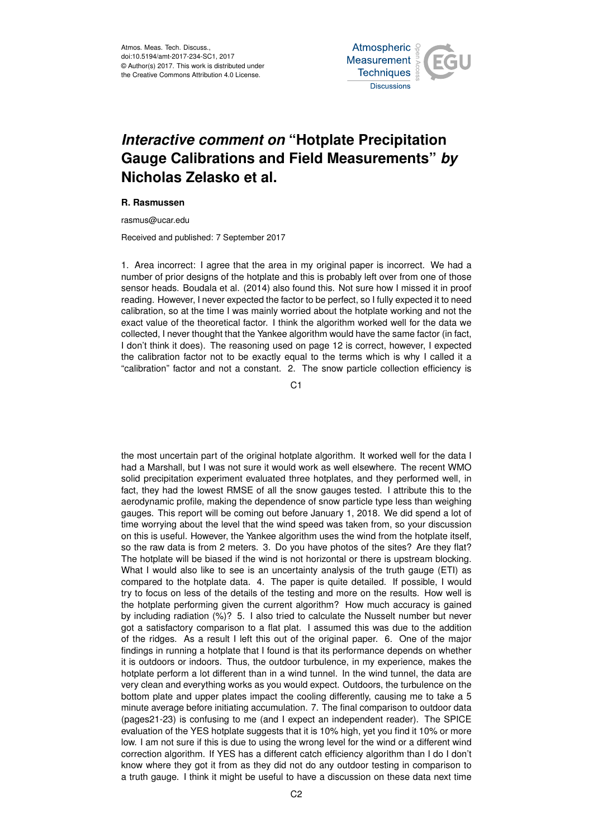Atmos. Meas. Tech. Discuss., doi:10.5194/amt-2017-234-SC1, 2017 © Author(s) 2017. This work is distributed under the Creative Commons Attribution 4.0 License.



## *Interactive comment on* **"Hotplate Precipitation Gauge Calibrations and Field Measurements"** *by* **Nicholas Zelasko et al.**

## **R. Rasmussen**

rasmus@ucar.edu

Received and published: 7 September 2017

1. Area incorrect: I agree that the area in my original paper is incorrect. We had a number of prior designs of the hotplate and this is probably left over from one of those sensor heads. Boudala et al. (2014) also found this. Not sure how I missed it in proof reading. However, I never expected the factor to be perfect, so I fully expected it to need calibration, so at the time I was mainly worried about the hotplate working and not the exact value of the theoretical factor. I think the algorithm worked well for the data we collected, I never thought that the Yankee algorithm would have the same factor (in fact, I don't think it does). The reasoning used on page 12 is correct, however, I expected the calibration factor not to be exactly equal to the terms which is why I called it a "calibration" factor and not a constant. 2. The snow particle collection efficiency is

C<sub>1</sub>

the most uncertain part of the original hotplate algorithm. It worked well for the data I had a Marshall, but I was not sure it would work as well elsewhere. The recent WMO solid precipitation experiment evaluated three hotplates, and they performed well, in fact, they had the lowest RMSE of all the snow gauges tested. I attribute this to the aerodynamic profile, making the dependence of snow particle type less than weighing gauges. This report will be coming out before January 1, 2018. We did spend a lot of time worrying about the level that the wind speed was taken from, so your discussion on this is useful. However, the Yankee algorithm uses the wind from the hotplate itself, so the raw data is from 2 meters. 3. Do you have photos of the sites? Are they flat? The hotplate will be biased if the wind is not horizontal or there is upstream blocking. What I would also like to see is an uncertainty analysis of the truth gauge (ETI) as compared to the hotplate data. 4. The paper is quite detailed. If possible, I would try to focus on less of the details of the testing and more on the results. How well is the hotplate performing given the current algorithm? How much accuracy is gained by including radiation (%)? 5. I also tried to calculate the Nusselt number but never got a satisfactory comparison to a flat plat. I assumed this was due to the addition of the ridges. As a result I left this out of the original paper. 6. One of the major findings in running a hotplate that I found is that its performance depends on whether it is outdoors or indoors. Thus, the outdoor turbulence, in my experience, makes the hotplate perform a lot different than in a wind tunnel. In the wind tunnel, the data are very clean and everything works as you would expect. Outdoors, the turbulence on the bottom plate and upper plates impact the cooling differently, causing me to take a 5 minute average before initiating accumulation. 7. The final comparison to outdoor data (pages21-23) is confusing to me (and I expect an independent reader). The SPICE evaluation of the YES hotplate suggests that it is 10% high, yet you find it 10% or more low. I am not sure if this is due to using the wrong level for the wind or a different wind correction algorithm. If YES has a different catch efficiency algorithm than I do I don't know where they got it from as they did not do any outdoor testing in comparison to a truth gauge. I think it might be useful to have a discussion on these data next time